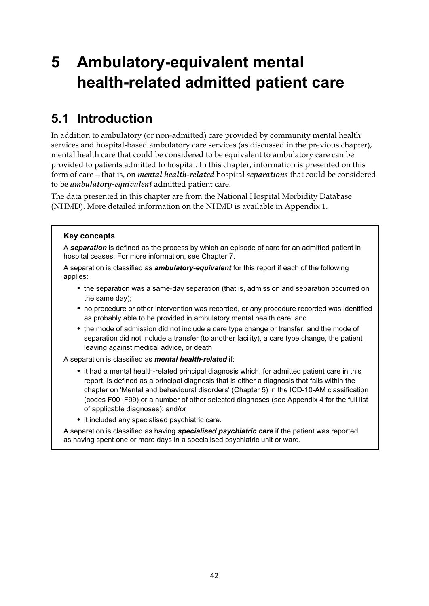# **5 Ambulatory-equivalent mental health-related admitted patient care**

#### **5.1 Introduction**

In addition to ambulatory (or non-admitted) care provided by community mental health services and hospital-based ambulatory care services (as discussed in the previous chapter), mental health care that could be considered to be equivalent to ambulatory care can be provided to patients admitted to hospital. In this chapter, information is presented on this form of care—that is, on *mental health-related* hospital *separations* that could be considered to be *ambulatory-equivalent* admitted patient care.

The data presented in this chapter are from the National Hospital Morbidity Database (NHMD). More detailed information on the NHMD is available in Appendix 1.

#### **Key concepts**

A *separation* is defined as the process by which an episode of care for an admitted patient in hospital ceases. For more information, see Chapter 7.

A separation is classified as *ambulatory-equivalent* for this report if each of the following applies:

- the separation was a same-day separation (that is, admission and separation occurred on the same day);
- no procedure or other intervention was recorded, or any procedure recorded was identified as probably able to be provided in ambulatory mental health care; and
- the mode of admission did not include a care type change or transfer, and the mode of separation did not include a transfer (to another facility), a care type change, the patient leaving against medical advice, or death.
- A separation is classified as *mental health-related* if:
	- it had a mental health-related principal diagnosis which, for admitted patient care in this report, is defined as a principal diagnosis that is either a diagnosis that falls within the chapter on 'Mental and behavioural disorders' (Chapter 5) in the ICD-10-AM classification (codes F00–F99) or a number of other selected diagnoses (see Appendix 4 for the full list of applicable diagnoses); and/or
	- it included any specialised psychiatric care.

A separation is classified as having *specialised psychiatric care* if the patient was reported as having spent one or more days in a specialised psychiatric unit or ward.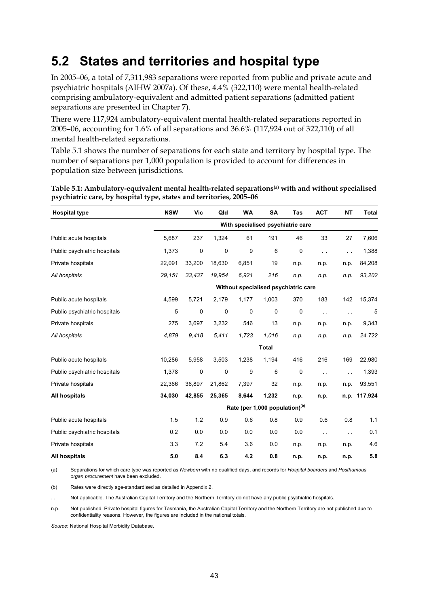#### **5.2 States and territories and hospital type**

In 2005–06, a total of 7,311,983 separations were reported from public and private acute and psychiatric hospitals (AIHW 2007a). Of these, 4.4% (322,110) were mental health-related comprising ambulatory-equivalent and admitted patient separations (admitted patient separations are presented in Chapter 7).

There were 117,924 ambulatory-equivalent mental health-related separations reported in 2005–06, accounting for 1.6% of all separations and 36.6% (117,924 out of 322,110) of all mental health-related separations.

Table 5.1 shows the number of separations for each state and territory by hospital type. The number of separations per 1,000 population is provided to account for differences in population size between jurisdictions.

| <b>Hospital type</b>         | <b>NSW</b> | <b>Vic</b>  | Qld    | <b>WA</b> | <b>SA</b>                            | Tas  | <b>ACT</b>           | <b>NT</b>     | <b>Total</b> |
|------------------------------|------------|-------------|--------|-----------|--------------------------------------|------|----------------------|---------------|--------------|
|                              |            |             |        |           | With specialised psychiatric care    |      |                      |               |              |
| Public acute hospitals       | 5,687      | 237         | 1,324  | 61        | 191                                  | 46   | 33                   | 27            | 7,606        |
| Public psychiatric hospitals | 1,373      | $\pmb{0}$   | 0      | 9         | 6                                    | 0    | $\ddot{\phantom{0}}$ | $\ddotsc$     | 1,388        |
| Private hospitals            | 22,091     | 33,200      | 18,630 | 6,851     | 19                                   | n.p. | n.p.                 | n.p.          | 84,208       |
| All hospitals                | 29,151     | 33,437      | 19,954 | 6,921     | 216                                  | n.p. | n.p.                 | n.p.          | 93,202       |
|                              |            |             |        |           | Without specialised psychiatric care |      |                      |               |              |
| Public acute hospitals       | 4,599      | 5,721       | 2,179  | 1,177     | 1,003                                | 370  | 183                  | 142           | 15,374       |
| Public psychiatric hospitals | 5          | 0           | 0      | 0         | $\mathbf 0$                          | 0    | $\sim$ .             | $\sim$ $\sim$ | 5            |
| Private hospitals            | 275        | 3,697       | 3,232  | 546       | 13                                   | n.p. | n.p.                 | n.p.          | 9,343        |
| All hospitals                | 4,879      | 9,418       | 5,411  | 1,723     | 1,016                                | n.p. | n.p.                 | n.p.          | 24,722       |
|                              |            |             |        |           | <b>Total</b>                         |      |                      |               |              |
| Public acute hospitals       | 10,286     | 5,958       | 3,503  | 1,238     | 1,194                                | 416  | 216                  | 169           | 22,980       |
| Public psychiatric hospitals | 1,378      | $\mathbf 0$ | 0      | 9         | 6                                    | 0    | $\ddotsc$            | $\sim$ $\sim$ | 1,393        |
| Private hospitals            | 22,366     | 36,897      | 21,862 | 7,397     | 32                                   | n.p. | n.p.                 | n.p.          | 93,551       |
| All hospitals                | 34,030     | 42,855      | 25,365 | 8,644     | 1,232                                | n.p. | n.p.                 | n.p.          | 117,924      |
|                              |            |             |        |           | Rate (per 1,000 population)(b)       |      |                      |               |              |
| Public acute hospitals       | 1.5        | 1.2         | 0.9    | 0.6       | 0.8                                  | 0.9  | 0.6                  | 0.8           | 1.1          |
| Public psychiatric hospitals | 0.2        | 0.0         | 0.0    | 0.0       | 0.0                                  | 0.0  | $\ddotsc$            | $\sim$ $\sim$ | 0.1          |
| Private hospitals            | 3.3        | 7.2         | 5.4    | 3.6       | 0.0                                  | n.p. | n.p.                 | n.p.          | 4.6          |
| All hospitals                | 5.0        | 8.4         | 6.3    | 4.2       | 0.8                                  | n.p. | n.p.                 | n.p.          | 5.8          |

**Table 5.1: Ambulatory-equivalent mental health-related separations(a) with and without specialised psychiatric care, by hospital type, states and territories, 2005–06** 

(a) Separations for which care type was reported as *Newborn* with no qualified days, and records for *Hospital boarders* and *Posthumous organ procurement* have been excluded.

(b) Rates were directly age-standardised as detailed in Appendix 2.

Not applicable. The Australian Capital Territory and the Northern Territory do not have any public psychiatric hospitals.

n.p. Not published. Private hospital figures for Tasmania, the Australian Capital Territory and the Northern Territory are not published due to confidentiality reasons. However, the figures are included in the national totals.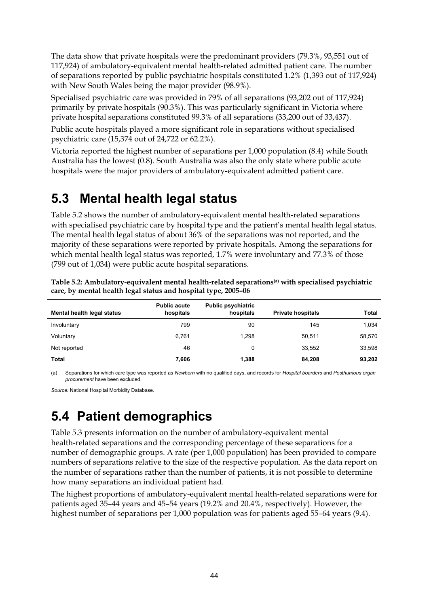The data show that private hospitals were the predominant providers (79.3%, 93,551 out of 117,924) of ambulatory-equivalent mental health-related admitted patient care. The number of separations reported by public psychiatric hospitals constituted 1.2% (1,393 out of 117,924) with New South Wales being the major provider (98.9%).

Specialised psychiatric care was provided in 79% of all separations (93,202 out of 117,924) primarily by private hospitals (90.3%). This was particularly significant in Victoria where private hospital separations constituted 99.3% of all separations (33,200 out of 33,437).

Public acute hospitals played a more significant role in separations without specialised psychiatric care (15,374 out of 24,722 or 62.2%).

Victoria reported the highest number of separations per 1,000 population (8.4) while South Australia has the lowest (0.8). South Australia was also the only state where public acute hospitals were the major providers of ambulatory-equivalent admitted patient care.

#### **5.3 Mental health legal status**

Table 5.2 shows the number of ambulatory-equivalent mental health-related separations with specialised psychiatric care by hospital type and the patient's mental health legal status. The mental health legal status of about 36% of the separations was not reported, and the majority of these separations were reported by private hospitals. Among the separations for which mental health legal status was reported, 1.7% were involuntary and 77.3% of those (799 out of 1,034) were public acute hospital separations.

| Mental health legal status | <b>Public acute</b><br>hospitals | <b>Public psychiatric</b><br>hospitals | <b>Private hospitals</b> | <b>Total</b> |
|----------------------------|----------------------------------|----------------------------------------|--------------------------|--------------|
| Involuntary                | 799                              | 90                                     | 145                      | 1.034        |
| Voluntary                  | 6,761                            | 1.298                                  | 50.511                   | 58,570       |
| Not reported               | 46                               | 0                                      | 33.552                   | 33,598       |
| Total                      | 7,606                            | 1,388                                  | 84,208                   | 93,202       |

**Table 5.2: Ambulatory-equivalent mental health-related separations(a) with specialised psychiatric care, by mental health legal status and hospital type, 2005–06** 

(a) Separations for which care type was reported as *Newborn* with no qualified days, and records for *Hospital boarders* and *Posthumous organ procurement* have been excluded.

*Source:* National Hospital Morbidity Database.

## **5.4 Patient demographics**

Table 5.3 presents information on the number of ambulatory-equivalent mental health-related separations and the corresponding percentage of these separations for a number of demographic groups. A rate (per 1,000 population) has been provided to compare numbers of separations relative to the size of the respective population. As the data report on the number of separations rather than the number of patients, it is not possible to determine how many separations an individual patient had.

The highest proportions of ambulatory-equivalent mental health-related separations were for patients aged 35–44 years and 45–54 years (19.2% and 20.4%, respectively). However, the highest number of separations per 1,000 population was for patients aged 55–64 years (9.4).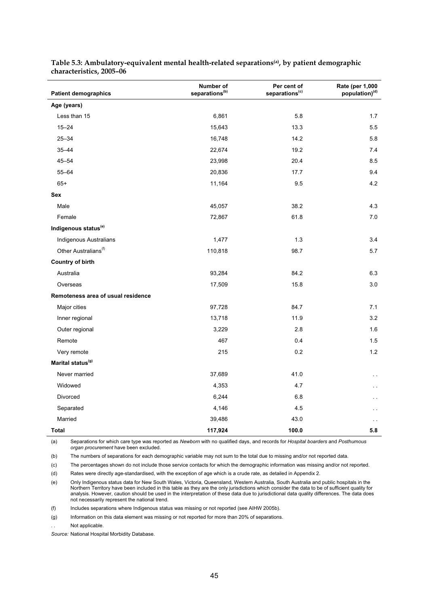| <b>Patient demographics</b>        | Number of<br>separations <sup>(b)</sup> | Per cent of<br>separations <sup>(c)</sup> | Rate (per 1,000<br>population) <sup>(d)</sup> |
|------------------------------------|-----------------------------------------|-------------------------------------------|-----------------------------------------------|
| Age (years)                        |                                         |                                           |                                               |
| Less than 15                       | 6,861                                   | 5.8                                       | 1.7                                           |
| $15 - 24$                          | 15,643                                  | 13.3                                      | 5.5                                           |
| $25 - 34$                          | 16,748                                  | 14.2                                      | 5.8                                           |
| $35 - 44$                          | 22,674                                  | 19.2                                      | 7.4                                           |
| $45 - 54$                          | 23,998                                  | 20.4                                      | 8.5                                           |
| $55 - 64$                          | 20,836                                  | 17.7                                      | 9.4                                           |
| $65+$                              | 11,164                                  | 9.5                                       | 4.2                                           |
| <b>Sex</b>                         |                                         |                                           |                                               |
| Male                               | 45,057                                  | 38.2                                      | 4.3                                           |
| Female                             | 72,867                                  | 61.8                                      | $7.0\,$                                       |
| Indigenous status <sup>(e)</sup>   |                                         |                                           |                                               |
| Indigenous Australians             | 1,477                                   | 1.3                                       | 3.4                                           |
| Other Australians <sup>(f)</sup>   | 110,818                                 | 98.7                                      | 5.7                                           |
| <b>Country of birth</b>            |                                         |                                           |                                               |
| Australia                          | 93,284                                  | 84.2                                      | 6.3                                           |
| Overseas                           | 17,509                                  | 15.8                                      | 3.0                                           |
| Remoteness area of usual residence |                                         |                                           |                                               |
| Major cities                       | 97,728                                  | 84.7                                      | 7.1                                           |
| Inner regional                     | 13,718                                  | 11.9                                      | 3.2                                           |
| Outer regional                     | 3,229                                   | 2.8                                       | 1.6                                           |
| Remote                             | 467                                     | 0.4                                       | 1.5                                           |
| Very remote                        | 215                                     | 0.2                                       | $1.2$                                         |
| Marital status <sup>(g)</sup>      |                                         |                                           |                                               |
| Never married                      | 37,689                                  | 41.0                                      | . .                                           |
| Widowed                            | 4,353                                   | 4.7                                       |                                               |
| Divorced                           | 6,244                                   | 6.8                                       |                                               |
| Separated                          | 4,146                                   | 4.5                                       |                                               |
| Married                            | 39,486                                  | 43.0                                      | . .                                           |
| <b>Total</b>                       | 117,924                                 | 100.0                                     | 5.8                                           |

**Table 5.3: Ambulatory-equivalent mental health-related separations(a), by patient demographic characteristics, 2005–06** 

(a) Separations for which care type was reported as *Newborn* with no qualified days, and records for *Hospital boarders* and *Posthumous organ procurement* have been excluded.

(b) The numbers of separations for each demographic variable may not sum to the total due to missing and/or not reported data.

(c) The percentages shown do not include those service contacts for which the demographic information was missing and/or not reported.

(d) Rates were directly age-standardised, with the exception of age which is a crude rate, as detailed in Appendix 2.

(e) Only Indigenous status data for New South Wales, Victoria, Queensland, Western Australia, South Australia and public hospitals in the Northern Territory have been included in this table as they are the only jurisdictions which consider the data to be of sufficient quality for analysis. However, caution should be used in the interpretation of these data due to jurisdictional data quality differences. The data does not necessarily represent the national trend.

(f) Includes separations where Indigenous status was missing or not reported (see AIHW 2005b).

(g) Information on this data element was missing or not reported for more than 20% of separations.

Not applicable.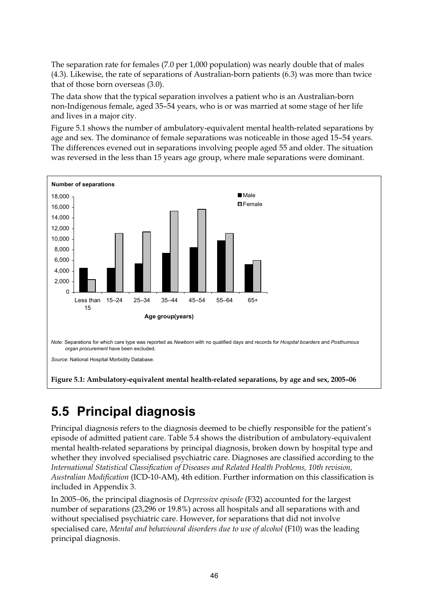The separation rate for females (7.0 per 1,000 population) was nearly double that of males (4.3). Likewise, the rate of separations of Australian-born patients (6.3) was more than twice that of those born overseas (3.0).

The data show that the typical separation involves a patient who is an Australian-born non-Indigenous female, aged 35–54 years, who is or was married at some stage of her life and lives in a major city.

Figure 5.1 shows the number of ambulatory-equivalent mental health-related separations by age and sex. The dominance of female separations was noticeable in those aged 15–54 years. The differences evened out in separations involving people aged 55 and older. The situation was reversed in the less than 15 years age group, where male separations were dominant.



#### **5.5 Principal diagnosis**

Principal diagnosis refers to the diagnosis deemed to be chiefly responsible for the patient's episode of admitted patient care. Table 5.4 shows the distribution of ambulatory-equivalent mental health-related separations by principal diagnosis, broken down by hospital type and whether they involved specialised psychiatric care. Diagnoses are classified according to the *International Statistical Classification of Diseases and Related Health Problems, 10th revision, Australian Modification* (ICD-10-AM), 4th edition. Further information on this classification is included in Appendix 3.

In 2005−06, the principal diagnosis of *Depressive episode* (F32) accounted for the largest number of separations (23,296 or 19.8%) across all hospitals and all separations with and without specialised psychiatric care. However, for separations that did not involve specialised care, *Mental and behavioural disorders due to use of alcohol* (F10) was the leading principal diagnosis.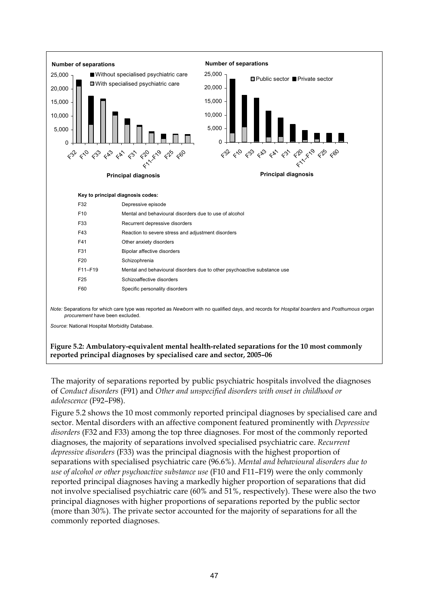

The majority of separations reported by public psychiatric hospitals involved the diagnoses of *Conduct disorders* (F91) and *Other and unspecified disorders with onset in childhood or adolescence* (F92–F98).

Figure 5.2 shows the 10 most commonly reported principal diagnoses by specialised care and sector. Mental disorders with an affective component featured prominently with *Depressive disorders* (F32 and F33) among the top three diagnoses. For most of the commonly reported diagnoses, the majority of separations involved specialised psychiatric care. *Recurrent depressive disorders* (F33) was the principal diagnosis with the highest proportion of separations with specialised psychiatric care (96.6%). *Mental and behavioural disorders due to use of alcohol or other psychoactive substance use* (F10 and F11–F19) were the only commonly reported principal diagnoses having a markedly higher proportion of separations that did not involve specialised psychiatric care (60% and 51%, respectively). These were also the two principal diagnoses with higher proportions of separations reported by the public sector (more than 30%). The private sector accounted for the majority of separations for all the commonly reported diagnoses.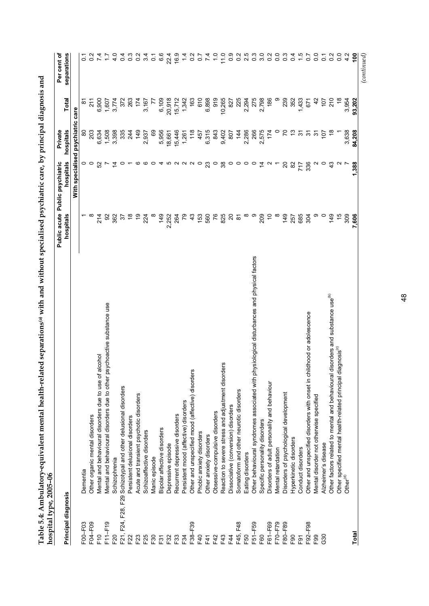| hospital type, 2005-06 |                                                                                             |                       |                                   |                  |               |                  |
|------------------------|---------------------------------------------------------------------------------------------|-----------------------|-----------------------------------|------------------|---------------|------------------|
|                        |                                                                                             | Public acute          | Public psychiatric                | Private          |               | Per cent of      |
| Principal diagnosis    |                                                                                             | hospitals             | hospitals                         | hospitals        | Total         | separations      |
|                        |                                                                                             |                       | With specialised psychiatric care |                  |               |                  |
| F00-F03                | Dementia                                                                                    |                       |                                   |                  | <u>९</u>      |                  |
| F04-F09                | Other organic mental disorders                                                              | $\infty$              | $\circ$ $\circ$                   | 203              | 211           |                  |
| F10                    | Mental and behavioural disorders due to use of alcohol                                      | 214                   | 52                                | 6,634            | 6,900         |                  |
| F11-F19                | Mental and behavioural disorders due to other psychoactive substance use                    | $\infty$              | $\overline{ }$                    | 1,508            | 1,607         | $\ddot{ }$ :     |
| F20                    | Schizophrenia                                                                               | 362                   | $\overline{4}$                    | 3,398            | 3,774         | 4.0              |
| F21, F24, F28, F29     | Schizotypal and other delusional disorders                                                  | $\overline{\epsilon}$ | $\circ$                           | 335              | 372           | $\overline{0}$   |
| F22                    | Persistent delusional disorders                                                             | $\frac{8}{1}$         |                                   | 244              | 263           | $0.\overline{3}$ |
| F <sub>23</sub>        | Acute and transient psychotic disorders                                                     | $\frac{6}{2}$         | ဖဖ                                | 149              | 174           | $\frac{2}{5}$    |
| F25                    | Schizoaffective disorders                                                                   | 224                   |                                   | 2,937            | 3,167         | 3.4              |
| F30                    | Manic episode                                                                               |                       | $\circ$                           | 69               |               | $\overline{c}$   |
| F31                    | Bipolar affective disorders                                                                 | 149                   |                                   | 5,956            | 6,109         | 6.6              |
| F <sub>32</sub>        | Depressive episode                                                                          | 2,252                 | 45022                             | 18,661           | 20,918        | 22.4             |
| F33                    | Recurrent depressive disorders                                                              | 264                   |                                   | 15,446           | 15,712        | 16.9             |
| F34                    | Persistent mood (affective) disorders                                                       | 79                    |                                   | 1,261            | 1,342         | $\frac{4}{3}$    |
| F38-F39                | Other and unspecified mood (affective) disorders                                            | 43                    |                                   | 118              | 163           | $\overline{0}$   |
| F40                    | Phobic anxiety disorders                                                                    | 153                   | $\circ$                           | 457              | 610           | $\overline{0}$   |
| F41                    | Other anxiety disorders                                                                     | 560                   | 23                                | 6,315            | 6,898         | $\overline{74}$  |
| F42                    | Obsessive-compulsive disorders                                                              | 76                    | $\circ$                           | 843              | 919           | $\frac{0}{1}$    |
| F43                    | ers<br>Reaction to severe stress and adjustment disord                                      | 825                   | 38                                | 9,402            | 10,265        | 11.0             |
| F44                    | Dissociative (conversion) disorders                                                         | $\overline{c}$        | $\circ$                           | 807              | 827           | $\frac{0}{2}$    |
| F48<br>F45,            | Somatoform and other neurotic disorders                                                     | $\approx$             | $\circ$                           | 144              | 225           | 0.2              |
| F50                    | Eating disorders                                                                            | ∞                     | $\circ$ $\circ$                   | 2,286            | 2,294         | 2.5              |
| F51-F59                | Other behavioural syndromes associated with physiological disturbances and physical factors | ၜ                     |                                   | 266              | 275           | $\frac{3}{2}$    |
| F60                    | Specific personality disorders                                                              | 209                   | $\tilde{4}$                       | 2,575            | 2,798         | 3.0              |
| F61-F69                | Disorders of adult personality and behaviour                                                | $\tilde{c}$           | $\sim$                            | 174              | 186           | $\overline{0}$   |
| F70-F79                | Mental retardation                                                                          |                       |                                   |                  |               | 0.0              |
| F80-F89                | Disorders of psychological development                                                      | 149                   | $\overline{20}$                   | 2                | 239           | $0.\overline{3}$ |
| F <sub>90</sub>        | Hyperkinetic disorders                                                                      | 257                   | 82                                |                  | 352           | 0.4              |
| F <sub>91</sub>        | Conduct disorders                                                                           | 685                   | 717                               | $\frac{1}{2}$    | 1,433         | $\frac{5}{10}$   |
| F92-F98                | ildhood or adolescence<br>Other and unspecified disorders with onset in ch                  | 304                   | 336                               | $\tilde{\bm{5}}$ | 671           | 0.7              |
| F <sub>99</sub>        | Mental disorder not otherwise specified                                                     | თ                     |                                   | 5                | 42            | 0.0              |
| G30                    | Alzheimer's disease                                                                         | $\circ$               | ○                                 | 107              | 107           | $\overline{C}$   |
|                        | Other factors related to mental and behavioural disorders and substance use <sup>(b)</sup>  | 149                   |                                   |                  | 210           | $\frac{2}{2}$    |
|                        | Other specified mental health-related principal diagnosis <sup>(c)</sup>                    | $\frac{1}{2}$         |                                   |                  | $\frac{8}{1}$ | $\overline{0}$   |
|                        | Other <sup>(d)</sup>                                                                        | 309                   |                                   | 3,638            | 3,954         | 4.2              |
| Total                  |                                                                                             | 7,606                 | 1,388                             | 84,208           | 93,202        | $\frac{100}{2}$  |
|                        |                                                                                             |                       |                                   |                  |               | (continued)      |

Table 5.4: Ambulatory-equivalent mental health-related separations<sup>(a)</sup> with and without specialised psychiatric care, by principal diagnosis and **Table 5.4: Ambulatory-equivalent mental health-related separations(a) with and without specialised psychiatric care, by principal diagnosis and**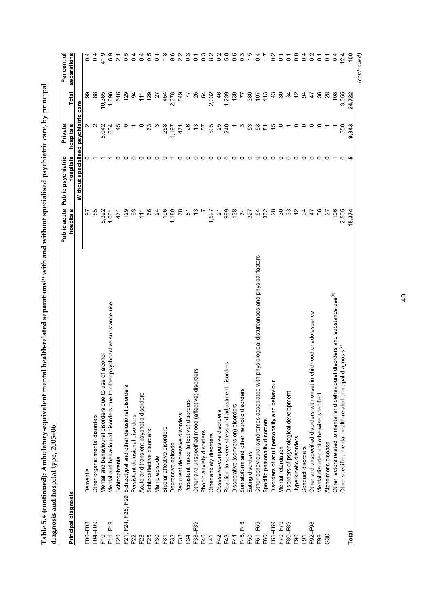| 9.6<br>Ņ<br>5.0<br>0.6<br>$\frac{6}{1}$<br>separations<br>41.9<br>6.9<br>0.5<br>0.4<br>0.5<br>2.2<br>$\frac{3}{2}$<br>$\frac{3}{2}$<br>8.2<br>0.3<br>$\overline{0}$ .<br>$\frac{2}{3}$<br>0.0<br>$\frac{8}{2}$<br>$\overline{0}$<br>0.4<br>$\ddot{ }$<br>$\overline{0}$<br>$\overline{0}$<br>$\frac{12.4}{ }$<br>0.4<br>$\tilde{\circ}$<br>$\overline{0}$<br>$\overline{c}$<br>$\frac{2}{\sqrt{2}}$<br>$\overline{2.1}$<br>$\overline{c}$<br>$\overline{c}$<br>$\overline{c}$<br>$\circ$<br>88<br>10,365<br>1,239<br>3,055<br>ဓ္တ<br>1,696<br>516<br>129<br>$\frac{6}{4}$<br>139<br>S<br>34<br>$\tilde{c}$<br>36<br>$\overline{28}$<br>24,722<br>3<br>$^{129}$<br>2,378<br>549<br>$\infty$<br>34<br>380<br>$\frac{3}{4}$<br>रू<br>$\frac{8}{2}$<br>Total<br>454<br>2,032<br>$\frac{107}{2}$<br>413<br>47<br>77<br>Ξ<br>ನ<br>7<br>Without specialised psychiatric care<br>hospitals<br>$\sim$<br>45<br>26<br>53<br>53<br>$\frac{1}{2}$<br>550<br>9,343<br>5,042<br>634<br>යි<br>258<br>5<br>505<br>25<br>240<br>57<br>$\overline{\infty}$<br>1,197<br>471<br>hospitals<br>$\circ$<br>$\circ$<br>○<br>○<br>$\circ$<br>$\circ$<br>$\circ$<br>$\circ$<br>$\circ$<br>$\circ$<br>$\circ$<br>○<br>nospitals<br>2,505<br>85<br>66<br>196<br>1,180<br>999<br>138<br>28<br>S<br>33<br>$\tilde{c}$<br>3<br>36<br>106<br>15,374<br>129<br>္တ<br>$\overline{c}$<br>$\overline{7}$<br>54<br>332<br>5,322<br>$\tilde{t}$<br>$\frac{4}{7}$<br>27<br>1,061<br>471<br>5<br>$\tilde{\sim}$<br>327<br>ଚ<br>1,527<br>Other behavioural syndromes associated with physiological disturbances and physical factors<br>disorders and substance use <sup>(b)</sup><br>Mental and behavioural disorders due to other psychoactive substance use<br>Other and unspecified disorders with onset in childhood or adolescence<br>liagnosis <sup>(c)</sup><br>alcohol<br>Reaction to severe stress and adjustment disorders<br>S<br>Other and unspecified mood (affective) disorder<br>Other specified mental health-related principal d<br>Mental and behavioural disorders due to use of<br>Other factors related to mental and behavioural<br>Disorders of adult personality and behaviour<br>Schizotypal and other delusional disorders<br>Somatoform and other neurotic disorders<br>Disorders of psychological development<br>Acute and transient psychotic disorders<br>Mental disorder not otherwise specified<br>Persistent mood (affective) disorders<br>Dissociative (conversion) disorders<br>Obsessive-compulsive disorders<br>Recurrent depressive disorders<br>Other organic mental disorders<br>Persistent delusional disorders<br>Specific personality disorders<br>Bipolar affective disorders<br>Schizoaffective disorders<br>Phobic anxiety disorders<br>Other anxiety disorders<br>Hyperkinetic disorders<br>Alzheimer's disease<br>Depressive episode<br>Conduct disorders<br>Mental retardation<br>Eating disorders<br>Manic episode<br>Schizophrenia<br>Dementia<br>Principal diagnosis<br>F21, F24, F28, F29<br>F04-F09<br>$F11-F19$<br>$-38 - F39$<br>F45, F48<br>F51-F59<br>F61-F69<br>F70-F79<br>$-92 - F98$<br>F00-F03<br>F80-F89<br>Total<br>$E$ <sup>0</sup><br>F20<br>F60<br>G30<br>F <sub>90</sub><br>F40<br>F42<br>F43<br>F50<br>F <sub>99</sub><br>F22<br>F23<br>F <sub>25</sub><br>$-33$<br>$-34$<br>F44<br>F <sub>91</sub><br>30<br>-32<br>F41<br>$\overline{5}$ |  | Public acute | Public psychiatric | Private | Per cent of |
|------------------------------------------------------------------------------------------------------------------------------------------------------------------------------------------------------------------------------------------------------------------------------------------------------------------------------------------------------------------------------------------------------------------------------------------------------------------------------------------------------------------------------------------------------------------------------------------------------------------------------------------------------------------------------------------------------------------------------------------------------------------------------------------------------------------------------------------------------------------------------------------------------------------------------------------------------------------------------------------------------------------------------------------------------------------------------------------------------------------------------------------------------------------------------------------------------------------------------------------------------------------------------------------------------------------------------------------------------------------------------------------------------------------------------------------------------------------------------------------------------------------------------------------------------------------------------------------------------------------------------------------------------------------------------------------------------------------------------------------------------------------------------------------------------------------------------------------------------------------------------------------------------------------------------------------------------------------------------------------------------------------------------------------------------------------------------------------------------------------------------------------------------------------------------------------------------------------------------------------------------------------------------------------------------------------------------------------------------------------------------------------------------------------------------------------------------------------------------------------------------------------------------------------------------------------------------------------------------------------------------------------------------------------------------------------------------------------------------------------------------------------------------------------------------------------------------------------------------------------------------------------------------------------------------------------------------------------------------------------------------------------------------------------------------------------------------------------------------------------------------------------------------------------------------------------------------------------------------------------------------------------------------------------------------------------------------------------------------------------------|--|--------------|--------------------|---------|-------------|
|                                                                                                                                                                                                                                                                                                                                                                                                                                                                                                                                                                                                                                                                                                                                                                                                                                                                                                                                                                                                                                                                                                                                                                                                                                                                                                                                                                                                                                                                                                                                                                                                                                                                                                                                                                                                                                                                                                                                                                                                                                                                                                                                                                                                                                                                                                                                                                                                                                                                                                                                                                                                                                                                                                                                                                                                                                                                                                                                                                                                                                                                                                                                                                                                                                                                                                                                                                        |  |              |                    |         |             |
|                                                                                                                                                                                                                                                                                                                                                                                                                                                                                                                                                                                                                                                                                                                                                                                                                                                                                                                                                                                                                                                                                                                                                                                                                                                                                                                                                                                                                                                                                                                                                                                                                                                                                                                                                                                                                                                                                                                                                                                                                                                                                                                                                                                                                                                                                                                                                                                                                                                                                                                                                                                                                                                                                                                                                                                                                                                                                                                                                                                                                                                                                                                                                                                                                                                                                                                                                                        |  |              |                    |         |             |
|                                                                                                                                                                                                                                                                                                                                                                                                                                                                                                                                                                                                                                                                                                                                                                                                                                                                                                                                                                                                                                                                                                                                                                                                                                                                                                                                                                                                                                                                                                                                                                                                                                                                                                                                                                                                                                                                                                                                                                                                                                                                                                                                                                                                                                                                                                                                                                                                                                                                                                                                                                                                                                                                                                                                                                                                                                                                                                                                                                                                                                                                                                                                                                                                                                                                                                                                                                        |  |              |                    |         |             |
|                                                                                                                                                                                                                                                                                                                                                                                                                                                                                                                                                                                                                                                                                                                                                                                                                                                                                                                                                                                                                                                                                                                                                                                                                                                                                                                                                                                                                                                                                                                                                                                                                                                                                                                                                                                                                                                                                                                                                                                                                                                                                                                                                                                                                                                                                                                                                                                                                                                                                                                                                                                                                                                                                                                                                                                                                                                                                                                                                                                                                                                                                                                                                                                                                                                                                                                                                                        |  |              |                    |         |             |
|                                                                                                                                                                                                                                                                                                                                                                                                                                                                                                                                                                                                                                                                                                                                                                                                                                                                                                                                                                                                                                                                                                                                                                                                                                                                                                                                                                                                                                                                                                                                                                                                                                                                                                                                                                                                                                                                                                                                                                                                                                                                                                                                                                                                                                                                                                                                                                                                                                                                                                                                                                                                                                                                                                                                                                                                                                                                                                                                                                                                                                                                                                                                                                                                                                                                                                                                                                        |  |              |                    |         |             |
|                                                                                                                                                                                                                                                                                                                                                                                                                                                                                                                                                                                                                                                                                                                                                                                                                                                                                                                                                                                                                                                                                                                                                                                                                                                                                                                                                                                                                                                                                                                                                                                                                                                                                                                                                                                                                                                                                                                                                                                                                                                                                                                                                                                                                                                                                                                                                                                                                                                                                                                                                                                                                                                                                                                                                                                                                                                                                                                                                                                                                                                                                                                                                                                                                                                                                                                                                                        |  |              |                    |         |             |
|                                                                                                                                                                                                                                                                                                                                                                                                                                                                                                                                                                                                                                                                                                                                                                                                                                                                                                                                                                                                                                                                                                                                                                                                                                                                                                                                                                                                                                                                                                                                                                                                                                                                                                                                                                                                                                                                                                                                                                                                                                                                                                                                                                                                                                                                                                                                                                                                                                                                                                                                                                                                                                                                                                                                                                                                                                                                                                                                                                                                                                                                                                                                                                                                                                                                                                                                                                        |  |              |                    |         |             |
|                                                                                                                                                                                                                                                                                                                                                                                                                                                                                                                                                                                                                                                                                                                                                                                                                                                                                                                                                                                                                                                                                                                                                                                                                                                                                                                                                                                                                                                                                                                                                                                                                                                                                                                                                                                                                                                                                                                                                                                                                                                                                                                                                                                                                                                                                                                                                                                                                                                                                                                                                                                                                                                                                                                                                                                                                                                                                                                                                                                                                                                                                                                                                                                                                                                                                                                                                                        |  |              |                    |         |             |
|                                                                                                                                                                                                                                                                                                                                                                                                                                                                                                                                                                                                                                                                                                                                                                                                                                                                                                                                                                                                                                                                                                                                                                                                                                                                                                                                                                                                                                                                                                                                                                                                                                                                                                                                                                                                                                                                                                                                                                                                                                                                                                                                                                                                                                                                                                                                                                                                                                                                                                                                                                                                                                                                                                                                                                                                                                                                                                                                                                                                                                                                                                                                                                                                                                                                                                                                                                        |  |              |                    |         |             |
|                                                                                                                                                                                                                                                                                                                                                                                                                                                                                                                                                                                                                                                                                                                                                                                                                                                                                                                                                                                                                                                                                                                                                                                                                                                                                                                                                                                                                                                                                                                                                                                                                                                                                                                                                                                                                                                                                                                                                                                                                                                                                                                                                                                                                                                                                                                                                                                                                                                                                                                                                                                                                                                                                                                                                                                                                                                                                                                                                                                                                                                                                                                                                                                                                                                                                                                                                                        |  |              |                    |         |             |
|                                                                                                                                                                                                                                                                                                                                                                                                                                                                                                                                                                                                                                                                                                                                                                                                                                                                                                                                                                                                                                                                                                                                                                                                                                                                                                                                                                                                                                                                                                                                                                                                                                                                                                                                                                                                                                                                                                                                                                                                                                                                                                                                                                                                                                                                                                                                                                                                                                                                                                                                                                                                                                                                                                                                                                                                                                                                                                                                                                                                                                                                                                                                                                                                                                                                                                                                                                        |  |              |                    |         |             |
|                                                                                                                                                                                                                                                                                                                                                                                                                                                                                                                                                                                                                                                                                                                                                                                                                                                                                                                                                                                                                                                                                                                                                                                                                                                                                                                                                                                                                                                                                                                                                                                                                                                                                                                                                                                                                                                                                                                                                                                                                                                                                                                                                                                                                                                                                                                                                                                                                                                                                                                                                                                                                                                                                                                                                                                                                                                                                                                                                                                                                                                                                                                                                                                                                                                                                                                                                                        |  |              |                    |         |             |
|                                                                                                                                                                                                                                                                                                                                                                                                                                                                                                                                                                                                                                                                                                                                                                                                                                                                                                                                                                                                                                                                                                                                                                                                                                                                                                                                                                                                                                                                                                                                                                                                                                                                                                                                                                                                                                                                                                                                                                                                                                                                                                                                                                                                                                                                                                                                                                                                                                                                                                                                                                                                                                                                                                                                                                                                                                                                                                                                                                                                                                                                                                                                                                                                                                                                                                                                                                        |  |              |                    |         |             |
|                                                                                                                                                                                                                                                                                                                                                                                                                                                                                                                                                                                                                                                                                                                                                                                                                                                                                                                                                                                                                                                                                                                                                                                                                                                                                                                                                                                                                                                                                                                                                                                                                                                                                                                                                                                                                                                                                                                                                                                                                                                                                                                                                                                                                                                                                                                                                                                                                                                                                                                                                                                                                                                                                                                                                                                                                                                                                                                                                                                                                                                                                                                                                                                                                                                                                                                                                                        |  |              |                    |         |             |
|                                                                                                                                                                                                                                                                                                                                                                                                                                                                                                                                                                                                                                                                                                                                                                                                                                                                                                                                                                                                                                                                                                                                                                                                                                                                                                                                                                                                                                                                                                                                                                                                                                                                                                                                                                                                                                                                                                                                                                                                                                                                                                                                                                                                                                                                                                                                                                                                                                                                                                                                                                                                                                                                                                                                                                                                                                                                                                                                                                                                                                                                                                                                                                                                                                                                                                                                                                        |  |              |                    |         |             |
|                                                                                                                                                                                                                                                                                                                                                                                                                                                                                                                                                                                                                                                                                                                                                                                                                                                                                                                                                                                                                                                                                                                                                                                                                                                                                                                                                                                                                                                                                                                                                                                                                                                                                                                                                                                                                                                                                                                                                                                                                                                                                                                                                                                                                                                                                                                                                                                                                                                                                                                                                                                                                                                                                                                                                                                                                                                                                                                                                                                                                                                                                                                                                                                                                                                                                                                                                                        |  |              |                    |         |             |
|                                                                                                                                                                                                                                                                                                                                                                                                                                                                                                                                                                                                                                                                                                                                                                                                                                                                                                                                                                                                                                                                                                                                                                                                                                                                                                                                                                                                                                                                                                                                                                                                                                                                                                                                                                                                                                                                                                                                                                                                                                                                                                                                                                                                                                                                                                                                                                                                                                                                                                                                                                                                                                                                                                                                                                                                                                                                                                                                                                                                                                                                                                                                                                                                                                                                                                                                                                        |  |              |                    |         |             |
|                                                                                                                                                                                                                                                                                                                                                                                                                                                                                                                                                                                                                                                                                                                                                                                                                                                                                                                                                                                                                                                                                                                                                                                                                                                                                                                                                                                                                                                                                                                                                                                                                                                                                                                                                                                                                                                                                                                                                                                                                                                                                                                                                                                                                                                                                                                                                                                                                                                                                                                                                                                                                                                                                                                                                                                                                                                                                                                                                                                                                                                                                                                                                                                                                                                                                                                                                                        |  |              |                    |         |             |
|                                                                                                                                                                                                                                                                                                                                                                                                                                                                                                                                                                                                                                                                                                                                                                                                                                                                                                                                                                                                                                                                                                                                                                                                                                                                                                                                                                                                                                                                                                                                                                                                                                                                                                                                                                                                                                                                                                                                                                                                                                                                                                                                                                                                                                                                                                                                                                                                                                                                                                                                                                                                                                                                                                                                                                                                                                                                                                                                                                                                                                                                                                                                                                                                                                                                                                                                                                        |  |              |                    |         |             |
|                                                                                                                                                                                                                                                                                                                                                                                                                                                                                                                                                                                                                                                                                                                                                                                                                                                                                                                                                                                                                                                                                                                                                                                                                                                                                                                                                                                                                                                                                                                                                                                                                                                                                                                                                                                                                                                                                                                                                                                                                                                                                                                                                                                                                                                                                                                                                                                                                                                                                                                                                                                                                                                                                                                                                                                                                                                                                                                                                                                                                                                                                                                                                                                                                                                                                                                                                                        |  |              |                    |         |             |
|                                                                                                                                                                                                                                                                                                                                                                                                                                                                                                                                                                                                                                                                                                                                                                                                                                                                                                                                                                                                                                                                                                                                                                                                                                                                                                                                                                                                                                                                                                                                                                                                                                                                                                                                                                                                                                                                                                                                                                                                                                                                                                                                                                                                                                                                                                                                                                                                                                                                                                                                                                                                                                                                                                                                                                                                                                                                                                                                                                                                                                                                                                                                                                                                                                                                                                                                                                        |  |              |                    |         |             |
|                                                                                                                                                                                                                                                                                                                                                                                                                                                                                                                                                                                                                                                                                                                                                                                                                                                                                                                                                                                                                                                                                                                                                                                                                                                                                                                                                                                                                                                                                                                                                                                                                                                                                                                                                                                                                                                                                                                                                                                                                                                                                                                                                                                                                                                                                                                                                                                                                                                                                                                                                                                                                                                                                                                                                                                                                                                                                                                                                                                                                                                                                                                                                                                                                                                                                                                                                                        |  |              |                    |         |             |
|                                                                                                                                                                                                                                                                                                                                                                                                                                                                                                                                                                                                                                                                                                                                                                                                                                                                                                                                                                                                                                                                                                                                                                                                                                                                                                                                                                                                                                                                                                                                                                                                                                                                                                                                                                                                                                                                                                                                                                                                                                                                                                                                                                                                                                                                                                                                                                                                                                                                                                                                                                                                                                                                                                                                                                                                                                                                                                                                                                                                                                                                                                                                                                                                                                                                                                                                                                        |  |              |                    |         |             |
|                                                                                                                                                                                                                                                                                                                                                                                                                                                                                                                                                                                                                                                                                                                                                                                                                                                                                                                                                                                                                                                                                                                                                                                                                                                                                                                                                                                                                                                                                                                                                                                                                                                                                                                                                                                                                                                                                                                                                                                                                                                                                                                                                                                                                                                                                                                                                                                                                                                                                                                                                                                                                                                                                                                                                                                                                                                                                                                                                                                                                                                                                                                                                                                                                                                                                                                                                                        |  |              |                    |         |             |
|                                                                                                                                                                                                                                                                                                                                                                                                                                                                                                                                                                                                                                                                                                                                                                                                                                                                                                                                                                                                                                                                                                                                                                                                                                                                                                                                                                                                                                                                                                                                                                                                                                                                                                                                                                                                                                                                                                                                                                                                                                                                                                                                                                                                                                                                                                                                                                                                                                                                                                                                                                                                                                                                                                                                                                                                                                                                                                                                                                                                                                                                                                                                                                                                                                                                                                                                                                        |  |              |                    |         |             |
|                                                                                                                                                                                                                                                                                                                                                                                                                                                                                                                                                                                                                                                                                                                                                                                                                                                                                                                                                                                                                                                                                                                                                                                                                                                                                                                                                                                                                                                                                                                                                                                                                                                                                                                                                                                                                                                                                                                                                                                                                                                                                                                                                                                                                                                                                                                                                                                                                                                                                                                                                                                                                                                                                                                                                                                                                                                                                                                                                                                                                                                                                                                                                                                                                                                                                                                                                                        |  |              |                    |         |             |
|                                                                                                                                                                                                                                                                                                                                                                                                                                                                                                                                                                                                                                                                                                                                                                                                                                                                                                                                                                                                                                                                                                                                                                                                                                                                                                                                                                                                                                                                                                                                                                                                                                                                                                                                                                                                                                                                                                                                                                                                                                                                                                                                                                                                                                                                                                                                                                                                                                                                                                                                                                                                                                                                                                                                                                                                                                                                                                                                                                                                                                                                                                                                                                                                                                                                                                                                                                        |  |              |                    |         |             |
|                                                                                                                                                                                                                                                                                                                                                                                                                                                                                                                                                                                                                                                                                                                                                                                                                                                                                                                                                                                                                                                                                                                                                                                                                                                                                                                                                                                                                                                                                                                                                                                                                                                                                                                                                                                                                                                                                                                                                                                                                                                                                                                                                                                                                                                                                                                                                                                                                                                                                                                                                                                                                                                                                                                                                                                                                                                                                                                                                                                                                                                                                                                                                                                                                                                                                                                                                                        |  |              |                    |         |             |
|                                                                                                                                                                                                                                                                                                                                                                                                                                                                                                                                                                                                                                                                                                                                                                                                                                                                                                                                                                                                                                                                                                                                                                                                                                                                                                                                                                                                                                                                                                                                                                                                                                                                                                                                                                                                                                                                                                                                                                                                                                                                                                                                                                                                                                                                                                                                                                                                                                                                                                                                                                                                                                                                                                                                                                                                                                                                                                                                                                                                                                                                                                                                                                                                                                                                                                                                                                        |  |              |                    |         |             |
|                                                                                                                                                                                                                                                                                                                                                                                                                                                                                                                                                                                                                                                                                                                                                                                                                                                                                                                                                                                                                                                                                                                                                                                                                                                                                                                                                                                                                                                                                                                                                                                                                                                                                                                                                                                                                                                                                                                                                                                                                                                                                                                                                                                                                                                                                                                                                                                                                                                                                                                                                                                                                                                                                                                                                                                                                                                                                                                                                                                                                                                                                                                                                                                                                                                                                                                                                                        |  |              |                    |         |             |
|                                                                                                                                                                                                                                                                                                                                                                                                                                                                                                                                                                                                                                                                                                                                                                                                                                                                                                                                                                                                                                                                                                                                                                                                                                                                                                                                                                                                                                                                                                                                                                                                                                                                                                                                                                                                                                                                                                                                                                                                                                                                                                                                                                                                                                                                                                                                                                                                                                                                                                                                                                                                                                                                                                                                                                                                                                                                                                                                                                                                                                                                                                                                                                                                                                                                                                                                                                        |  |              |                    |         |             |
|                                                                                                                                                                                                                                                                                                                                                                                                                                                                                                                                                                                                                                                                                                                                                                                                                                                                                                                                                                                                                                                                                                                                                                                                                                                                                                                                                                                                                                                                                                                                                                                                                                                                                                                                                                                                                                                                                                                                                                                                                                                                                                                                                                                                                                                                                                                                                                                                                                                                                                                                                                                                                                                                                                                                                                                                                                                                                                                                                                                                                                                                                                                                                                                                                                                                                                                                                                        |  |              |                    |         |             |
|                                                                                                                                                                                                                                                                                                                                                                                                                                                                                                                                                                                                                                                                                                                                                                                                                                                                                                                                                                                                                                                                                                                                                                                                                                                                                                                                                                                                                                                                                                                                                                                                                                                                                                                                                                                                                                                                                                                                                                                                                                                                                                                                                                                                                                                                                                                                                                                                                                                                                                                                                                                                                                                                                                                                                                                                                                                                                                                                                                                                                                                                                                                                                                                                                                                                                                                                                                        |  |              |                    |         |             |
|                                                                                                                                                                                                                                                                                                                                                                                                                                                                                                                                                                                                                                                                                                                                                                                                                                                                                                                                                                                                                                                                                                                                                                                                                                                                                                                                                                                                                                                                                                                                                                                                                                                                                                                                                                                                                                                                                                                                                                                                                                                                                                                                                                                                                                                                                                                                                                                                                                                                                                                                                                                                                                                                                                                                                                                                                                                                                                                                                                                                                                                                                                                                                                                                                                                                                                                                                                        |  |              |                    |         |             |
|                                                                                                                                                                                                                                                                                                                                                                                                                                                                                                                                                                                                                                                                                                                                                                                                                                                                                                                                                                                                                                                                                                                                                                                                                                                                                                                                                                                                                                                                                                                                                                                                                                                                                                                                                                                                                                                                                                                                                                                                                                                                                                                                                                                                                                                                                                                                                                                                                                                                                                                                                                                                                                                                                                                                                                                                                                                                                                                                                                                                                                                                                                                                                                                                                                                                                                                                                                        |  |              |                    |         |             |
|                                                                                                                                                                                                                                                                                                                                                                                                                                                                                                                                                                                                                                                                                                                                                                                                                                                                                                                                                                                                                                                                                                                                                                                                                                                                                                                                                                                                                                                                                                                                                                                                                                                                                                                                                                                                                                                                                                                                                                                                                                                                                                                                                                                                                                                                                                                                                                                                                                                                                                                                                                                                                                                                                                                                                                                                                                                                                                                                                                                                                                                                                                                                                                                                                                                                                                                                                                        |  |              |                    |         |             |
|                                                                                                                                                                                                                                                                                                                                                                                                                                                                                                                                                                                                                                                                                                                                                                                                                                                                                                                                                                                                                                                                                                                                                                                                                                                                                                                                                                                                                                                                                                                                                                                                                                                                                                                                                                                                                                                                                                                                                                                                                                                                                                                                                                                                                                                                                                                                                                                                                                                                                                                                                                                                                                                                                                                                                                                                                                                                                                                                                                                                                                                                                                                                                                                                                                                                                                                                                                        |  |              |                    |         |             |

Table 5.4 (continued): Ambulatory-equivalent mental health-related separations<sup>(a)</sup> with and without specialised psychiatric care, by principal **Table 5.4 (continued): Ambulatory-equivalent mental health-related separations(a) with and without specialised psychiatric care, by principal** 

49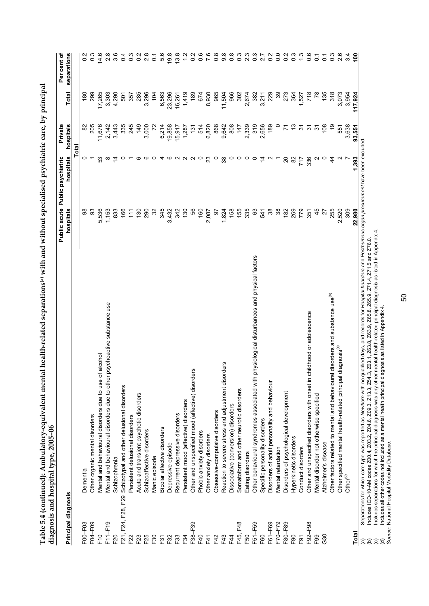| Principal diagnosis |                                                                                               | Public acute Public psychiatric |                | Private               |                 | Per cent of      |
|---------------------|-----------------------------------------------------------------------------------------------|---------------------------------|----------------|-----------------------|-----------------|------------------|
|                     |                                                                                               | hospitals                       | hospitals      | hospitals             | Total           | separations      |
|                     |                                                                                               |                                 | Total          |                       |                 |                  |
| F00-F03             | Dementia                                                                                      | 88                              |                | 8                     | $\frac{80}{2}$  | $\frac{2}{3}$    |
| F04-F09             | Other organic mental disorders                                                                | SS                              |                | 205                   | 299             | $0.\overline{3}$ |
| $F$ 10              | alcohol<br>Mental and behavioural disorders due to use of                                     | 5,536                           | 53             | 11,676                | 17,265          | 14.6             |
| F11-F19             | Mental and behavioural disorders due to other psychoactive substance use                      | 1,153                           | ∞              | 2,142                 | 3,303           | 2.8              |
| F20                 | Schizophrenia                                                                                 | 833                             | $\tilde{4}$    | 3,443                 | 4,290           | 3.6              |
| F21, F24, F28, F29  | Schizotypal and other delusional disorders                                                    | 166                             | $\circ$        | 335                   | 501             | 0.4              |
| F22                 | Persistent delusional disorders                                                               | $\tilde{t}$                     |                | 245                   | 357             | ိ<br>၁           |
| F23                 | Acute and transient psychotic disorders                                                       | 130                             | ဖ              | 149                   | 285             | $\frac{2}{3}$    |
| F25                 | Schizoaffective disorders                                                                     | 290                             | ဖ              | 3,000                 | 3,296           | 2.8              |
| F30                 | Manic episode                                                                                 | $\mathfrak{Z}$                  | $\circ$        | $\tilde{\mathcal{L}}$ | 104             | $\overline{c}$   |
| F31                 | Bipolar affective disorders                                                                   | 345                             |                | 6,214                 | 6,563           | 5.6              |
| F32                 | Depressive episode                                                                            | 3,432                           | ဖ              | 19,858                | 23,296          | 19.8             |
| F33                 | Recurrent depressive disorders                                                                | 342                             | NNN            | 15,917                | 16,261          | 13.8             |
| F34                 | Persistent mood (affective) disorders                                                         | 130                             |                | 1,287                 | 1,419           |                  |
| F38-F39             | 'n,<br>Other and unspecified mood (affective) disorder                                        | 56                              |                | 131                   | 189             | $\frac{2}{2}$    |
| F40                 | Phobic anxiety disorders                                                                      | 160                             | $\circ$        | 514                   | 674             | 0                |
| F41                 | Other anxiety disorders                                                                       | 2,087                           | 23             | 6,820                 | 8,930           |                  |
| F42                 | Obsessive-compulsive disorders                                                                | 5                               | $\circ$        | 868                   | 965             | $\frac{8}{2}$    |
| F43                 | Reaction to severe stress and adjustment disorders                                            | 1,824                           | 38             | 9,642                 | 11,504          | တ                |
| E44                 | Dissociative (conversion) disorders                                                           | 158                             | $\circ$        | 808                   | 966             | $\frac{8}{2}$    |
| F48<br>F45,         | Somatoform and other neurotic disorders                                                       | 155                             | $\circ$        | 147                   | 302             | $\frac{3}{2}$    |
| F50                 | Eating disorders                                                                              | 335                             | $\circ$        | 2,339                 | 2,674           | 2.3              |
| F51-F59             | Other behavioural syndromes associated with physiological disturbances and physical factors   | 63                              | $\circ$        | 319                   | 382             | $\frac{3}{2}$    |
| F60                 | Specific personality disorders                                                                | 541                             | $\overline{4}$ | 2,656                 | 3,211           | $\overline{2}$   |
| F61-F69             | Disorders of adult personality and behaviour                                                  | 38                              |                | 189                   | 229             | $\frac{2}{2}$    |
| F70-F79             | Mental retardation                                                                            | 38                              |                | $\circ$               | 39              | $\overline{0}$   |
| F80-F89             | Disorders of psychological development                                                        | 182                             | $\Omega$       | Σ                     | 273             | $\overline{0}$   |
| F <sub>90</sub>     | Hyperkinetic disorders                                                                        | 269                             | 82             | చ                     | 364             | $0.\overline{3}$ |
| F <sub>91</sub>     | Conduct disorders                                                                             | 779<br>351                      | 717            | 7                     | 527             | $\frac{3}{2}$    |
| F92-F98             | Other and unspecified disorders with onset in childhood or adolescence                        |                                 | 336            | 29                    | 718             | 0.6              |
| F <sub>99</sub>     | Mental disorder not otherwise specified                                                       | 45                              |                | $\tilde{\bm{c}}$      | $\overline{78}$ | $\overline{O}$   |
| G30                 | Alzheimer's disease                                                                           | 27                              | $\circ$        | 108                   | 135             | $\overline{0}$   |
|                     | disorders and substance use <sup>(b)</sup><br>Other factors related to mental and behavioural | 255                             | 4              | င္                    | 318             | $\frac{3}{2}$    |
|                     | Other specified mental health-related principal diagnosis <sup>(c)</sup>                      | 2,520                           |                | 55                    | 3,073           | 2.6              |
|                     | Other <sup>(d)</sup>                                                                          | 309                             |                | 3,638                 | 3,954           | 3.4              |
| Total               |                                                                                               | 22,980                          | 1,393          | 93,551                | 117.924         | ၔို              |

Table 5.4 (continued): Ambulatory-equivalent mental health-related separations<sup>(a)</sup> with and without specialised psychiatric care, by principal **Table 5.4 (continued): Ambulatory-equivalent mental health-related separations(a) with and without specialised psychiatric care, by principal** 

(b) Includes ICD-10-AM codes Z00.4, Z03.2, Z04.6, Z09.3, Z13.3, Z54.3, Z63.1, Z63.8, Z63.9, Z65.9, Z71.4, Z71.5 and Z76.0.<br>(c) Includes separations for which the principal diagnosis was any other mental health-related prin (b) Includes ICD-10-AM codes Z00.4, Z03.2, Z04.6, Z09.3, Z13.3, Z54.3, Z63.1, Z63.8, Z63.9, Z65.8, Z65.9, Z71.4, Z71.5 and Z76.0.

(c) Includes separations for which the principal diagnosis was any other mental health-related principal diagnosis as listed in Appendix 4.

(d) Includes all other codes not included as a mental health principal diagnosis as listed in Appendix 4.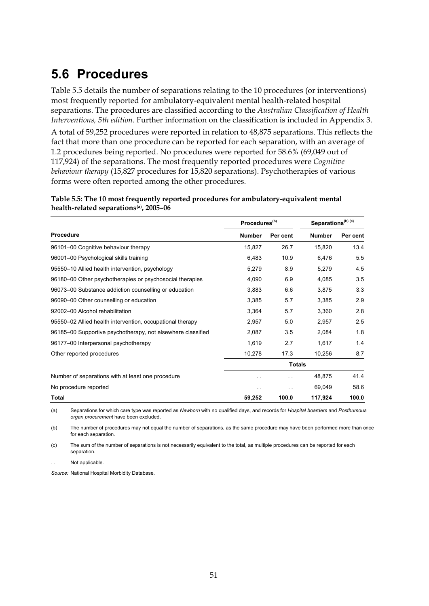### **5.6 Procedures**

Table 5.5 details the number of separations relating to the 10 procedures (or interventions) most frequently reported for ambulatory-equivalent mental health-related hospital separations. The procedures are classified according to the *Australian Classification of Health Interventions, 5th edition*. Further information on the classification is included in Appendix 3.

A total of 59,252 procedures were reported in relation to 48,875 separations. This reflects the fact that more than one procedure can be reported for each separation, with an average of 1.2 procedures being reported. No procedures were reported for 58.6% (69,049 out of 117,924) of the separations. The most frequently reported procedures were *Cognitive behaviour therapy* (15,827 procedures for 15,820 separations). Psychotherapies of various forms were often reported among the other procedures.

**Table 5.5: The 10 most frequently reported procedures for ambulatory-equivalent mental health-related separations(a), 2005–06** 

|                                                             | Procedures <sup>(b)</sup> |               | Separations <sup>(b) (c)</sup> |          |
|-------------------------------------------------------------|---------------------------|---------------|--------------------------------|----------|
| <b>Procedure</b>                                            | <b>Number</b>             | Per cent      | <b>Number</b>                  | Per cent |
| 96101-00 Cognitive behaviour therapy                        | 15,827                    | 26.7          | 15,820                         | 13.4     |
| 96001-00 Psychological skills training                      | 6,483                     | 10.9          | 6,476                          | 5.5      |
| 95550-10 Allied health intervention, psychology             | 5,279                     | 8.9           | 5,279                          | 4.5      |
| 96180–00 Other psychotherapies or psychosocial therapies    | 4,090                     | 6.9           | 4,085                          | 3.5      |
| 96073-00 Substance addiction counselling or education       | 3,883                     | 6.6           | 3,875                          | 3.3      |
| 96090-00 Other counselling or education                     | 3,385                     | 5.7           | 3,385                          | 2.9      |
| 92002-00 Alcohol rehabilitation                             | 3,364                     | 5.7           | 3,360                          | 2.8      |
| 95550-02 Allied health intervention, occupational therapy   | 2,957                     | 5.0           | 2,957                          | 2.5      |
| 96185–00 Supportive psychotherapy, not elsewhere classified | 2,087                     | 3.5           | 2,084                          | 1.8      |
| 96177-00 Interpersonal psychotherapy                        | 1,619                     | 2.7           | 1,617                          | 1.4      |
| Other reported procedures                                   | 10,278                    | 17.3          | 10,256                         | 8.7      |
|                                                             |                           | <b>Totals</b> |                                |          |
| Number of separations with at least one procedure           | . .                       |               | 48,875                         | 41.4     |
| No procedure reported                                       | . .                       |               | 69,049                         | 58.6     |
| Total                                                       | 59,252                    | 100.0         | 117,924                        | 100.0    |

(a) Separations for which care type was reported as *Newborn* with no qualified days, and records for *Hospital boarders* and *Posthumous organ procurement* have been excluded.

(b) The number of procedures may not equal the number of separations, as the same procedure may have been performed more than once for each separation.

(c) The sum of the number of separations is not necessarily equivalent to the total, as multiple procedures can be reported for each separation.

Not applicable.